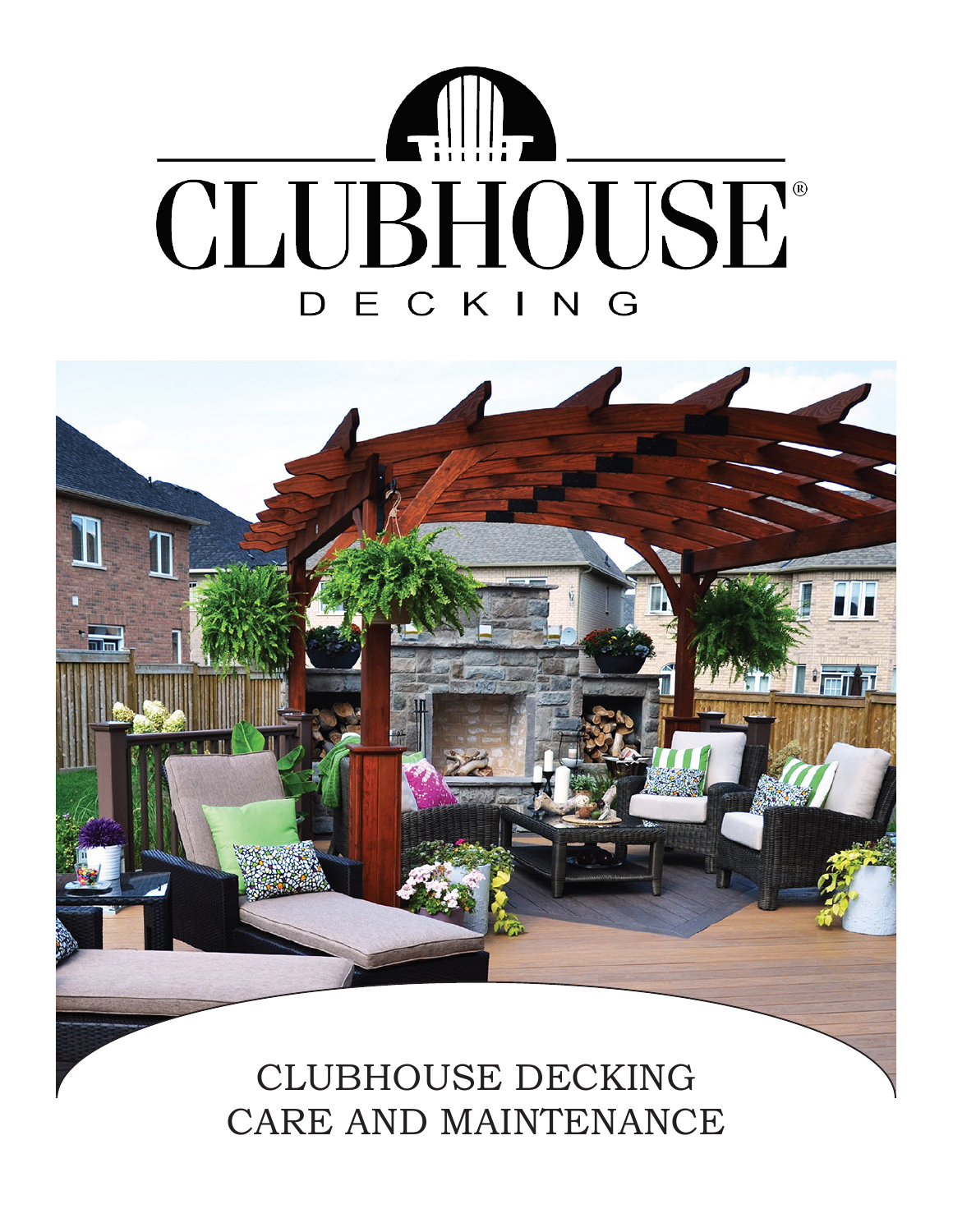



CLUBHOUSE DECKING CARE AND MAINTENANCE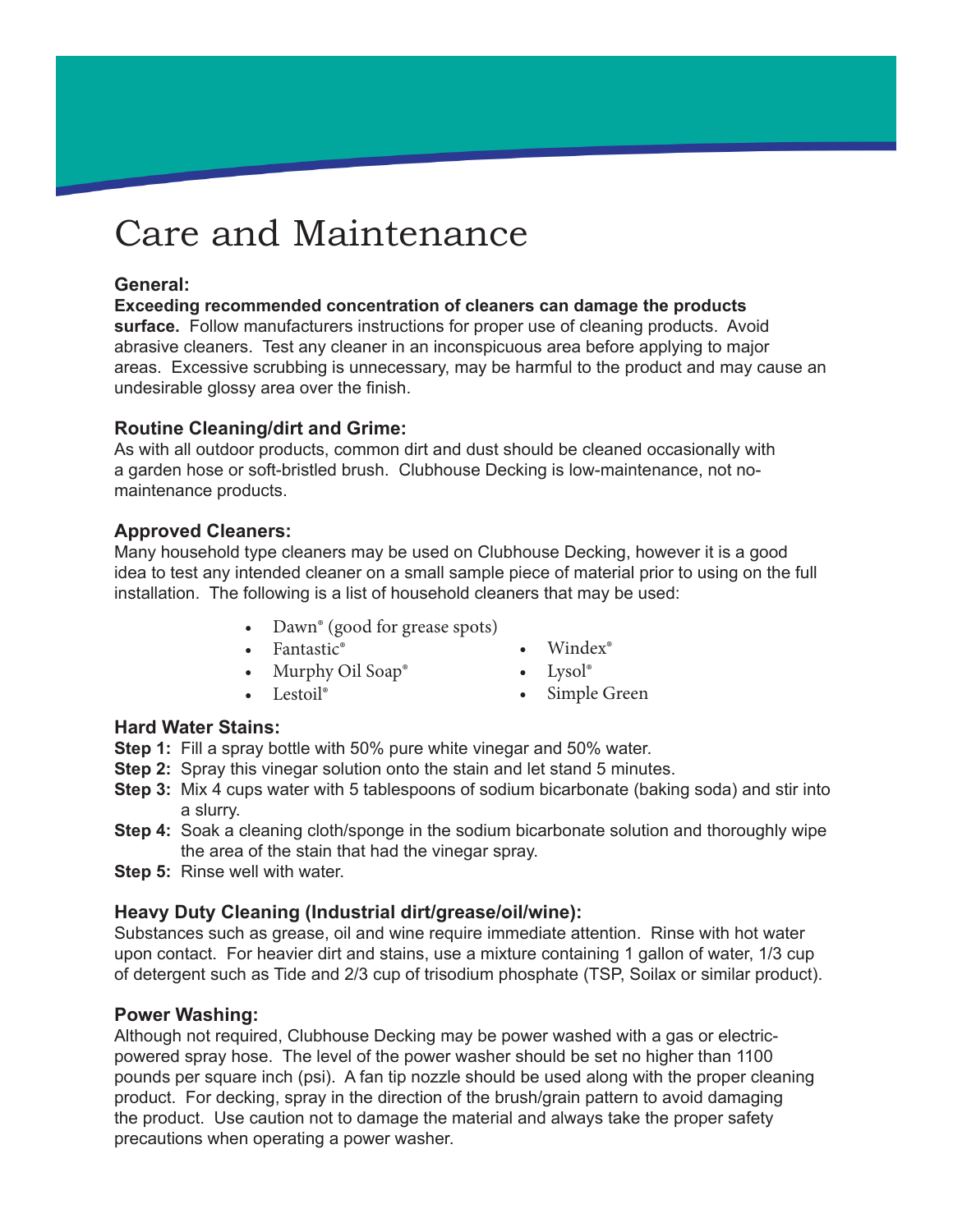# Care and Maintenance

# **General:**

**Exceeding recommended concentration of cleaners can damage the products surface.** Follow manufacturers instructions for proper use of cleaning products. Avoid abrasive cleaners. Test any cleaner in an inconspicuous area before applying to major areas. Excessive scrubbing is unnecessary, may be harmful to the product and may cause an undesirable glossy area over the finish.

# **Routine Cleaning/dirt and Grime:**

As with all outdoor products, common dirt and dust should be cleaned occasionally with a garden hose or soft-bristled brush. Clubhouse Decking is low-maintenance, not nomaintenance products.

# **Approved Cleaners:**

Many household type cleaners may be used on Clubhouse Decking, however it is a good idea to test any intended cleaner on a small sample piece of material prior to using on the full installation. The following is a list of household cleaners that may be used:

- Dawn<sup>®</sup> (good for grease spots)
- Fantastic<sup>®</sup>
- Windex<sup>®</sup>
- Murphy Oil Soap®
- Lestoil<sup>®</sup>
- Lysol®
- Simple Green

# **Hard Water Stains:**

- **Step 1:** Fill a spray bottle with 50% pure white vinegar and 50% water.
- **Step 2:** Spray this vinegar solution onto the stain and let stand 5 minutes.
- **Step 3:** Mix 4 cups water with 5 tablespoons of sodium bicarbonate (baking soda) and stir into a slurry.
- **Step 4:** Soak a cleaning cloth/sponge in the sodium bicarbonate solution and thoroughly wipe the area of the stain that had the vinegar spray.
- **Step 5:** Rinse well with water.

# **Heavy Duty Cleaning (Industrial dirt/grease/oil/wine):**

Substances such as grease, oil and wine require immediate attention. Rinse with hot water upon contact. For heavier dirt and stains, use a mixture containing 1 gallon of water, 1/3 cup of detergent such as Tide and 2/3 cup of trisodium phosphate (TSP, Soilax or similar product).

# **Power Washing:**

Although not required, Clubhouse Decking may be power washed with a gas or electricpowered spray hose. The level of the power washer should be set no higher than 1100 pounds per square inch (psi). A fan tip nozzle should be used along with the proper cleaning product. For decking, spray in the direction of the brush/grain pattern to avoid damaging the product. Use caution not to damage the material and always take the proper safety precautions when operating a power washer.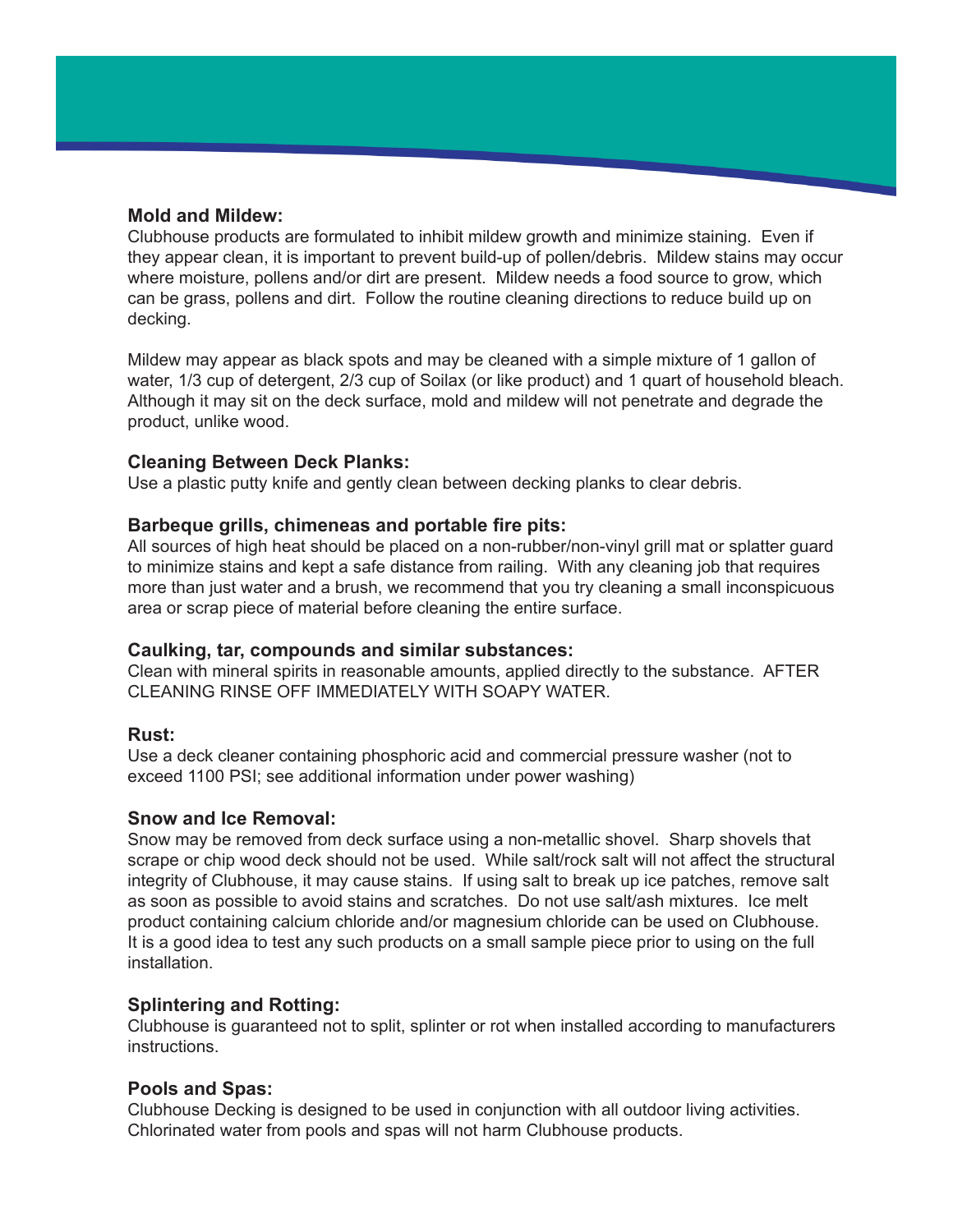## **Mold and Mildew:**

Clubhouse products are formulated to inhibit mildew growth and minimize staining. Even if they appear clean, it is important to prevent build-up of pollen/debris. Mildew stains may occur where moisture, pollens and/or dirt are present. Mildew needs a food source to grow, which can be grass, pollens and dirt. Follow the routine cleaning directions to reduce build up on decking.

Mildew may appear as black spots and may be cleaned with a simple mixture of 1 gallon of water, 1/3 cup of detergent, 2/3 cup of Soilax (or like product) and 1 quart of household bleach. Although it may sit on the deck surface, mold and mildew will not penetrate and degrade the product, unlike wood.

## **Cleaning Between Deck Planks:**

Use a plastic putty knife and gently clean between decking planks to clear debris.

## **Barbeque grills, chimeneas and portable fire pits:**

All sources of high heat should be placed on a non-rubber/non-vinyl grill mat or splatter guard to minimize stains and kept a safe distance from railing. With any cleaning job that requires more than just water and a brush, we recommend that you try cleaning a small inconspicuous area or scrap piece of material before cleaning the entire surface.

#### **Caulking, tar, compounds and similar substances:**

Clean with mineral spirits in reasonable amounts, applied directly to the substance. AFTER CLEANING RINSE OFF IMMEDIATELY WITH SOAPY WATER.

#### **Rust:**

Use a deck cleaner containing phosphoric acid and commercial pressure washer (not to exceed 1100 PSI; see additional information under power washing)

#### **Snow and Ice Removal:**

Snow may be removed from deck surface using a non-metallic shovel. Sharp shovels that scrape or chip wood deck should not be used. While salt/rock salt will not affect the structural integrity of Clubhouse, it may cause stains. If using salt to break up ice patches, remove salt as soon as possible to avoid stains and scratches. Do not use salt/ash mixtures. Ice melt product containing calcium chloride and/or magnesium chloride can be used on Clubhouse. It is a good idea to test any such products on a small sample piece prior to using on the full installation.

#### **Splintering and Rotting:**

Clubhouse is guaranteed not to split, splinter or rot when installed according to manufacturers instructions.

# **Pools and Spas:**

Clubhouse Decking is designed to be used in conjunction with all outdoor living activities. Chlorinated water from pools and spas will not harm Clubhouse products.